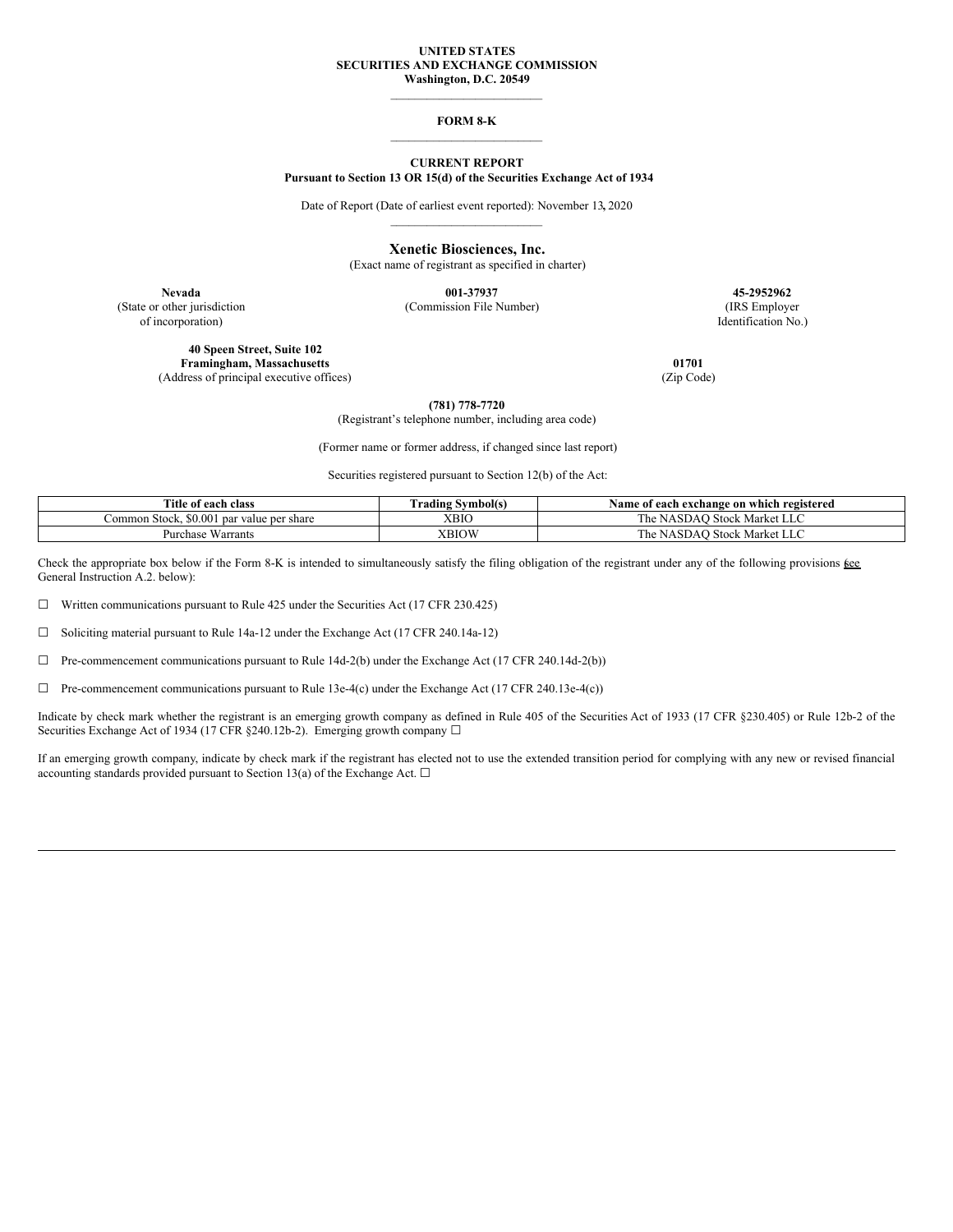### **UNITED STATES SECURITIES AND EXCHANGE COMMISSION Washington, D.C. 20549**

\_\_\_\_\_\_\_\_\_\_\_\_\_\_\_\_\_\_\_\_\_\_\_\_\_

### **FORM 8-K** \_\_\_\_\_\_\_\_\_\_\_\_\_\_\_\_\_\_\_\_\_\_\_\_\_

### **CURRENT REPORT Pursuant to Section 13 OR 15(d) of the Securities Exchange Act of 1934**

Date of Report (Date of earliest event reported): November 13**,** 2020 \_\_\_\_\_\_\_\_\_\_\_\_\_\_\_\_\_\_\_\_\_\_\_\_\_

# **Xenetic Biosciences, Inc.**

(Exact name of registrant as specified in charter)

(State or other jurisdiction (Commission File Number) (IRS Employer

**Nevada 001-37937 45-2952962**

**40 Speen Street, Suite 102 Framingham, Massachusetts 01701** (Address of principal executive offices) (Zip Code)

of incorporation) Identification No.)

**(781) 778-7720**

(Registrant's telephone number, including area code)

(Former name or former address, if changed since last report)

Securities registered pursuant to Section 12(b) of the Act:

| Title of each class                                 | <b>Trading Symbol(s)</b> | Name of each exchange on which registered                     |
|-----------------------------------------------------|--------------------------|---------------------------------------------------------------|
| : Stock. \$0.001<br>∠ommon<br>l par value per share | <b>XBIC</b>              | T <sub>1</sub><br>` Stock Market LLC<br>NASDAO<br>l he        |
| Warrants<br>Purchase                                | <b>XBIOW</b>             | T <sub>1</sub><br>J Stock Market '<br>NASDAO<br>ı he<br>. LLC |

Check the appropriate box below if the Form 8-K is intended to simultaneously satisfy the filing obligation of the registrant under any of the following provisions  $\underline{\mathfrak{g}}\underline{\mathfrak{e}}\underline{\mathfrak{e}}$ General Instruction A.2. below):

☐ Written communications pursuant to Rule 425 under the Securities Act (17 CFR 230.425)

☐ Soliciting material pursuant to Rule 14a-12 under the Exchange Act (17 CFR 240.14a-12)

☐ Pre-commencement communications pursuant to Rule 14d-2(b) under the Exchange Act (17 CFR 240.14d-2(b))

 $\Box$  Pre-commencement communications pursuant to Rule 13e-4(c) under the Exchange Act (17 CFR 240.13e-4(c))

Indicate by check mark whether the registrant is an emerging growth company as defined in Rule 405 of the Securities Act of 1933 (17 CFR §230.405) or Rule 12b-2 of the Securities Exchange Act of 1934 (17 CFR §240.12b-2). Emerging growth company □

If an emerging growth company, indicate by check mark if the registrant has elected not to use the extended transition period for complying with any new or revised financial accounting standards provided pursuant to Section 13(a) of the Exchange Act.  $\square$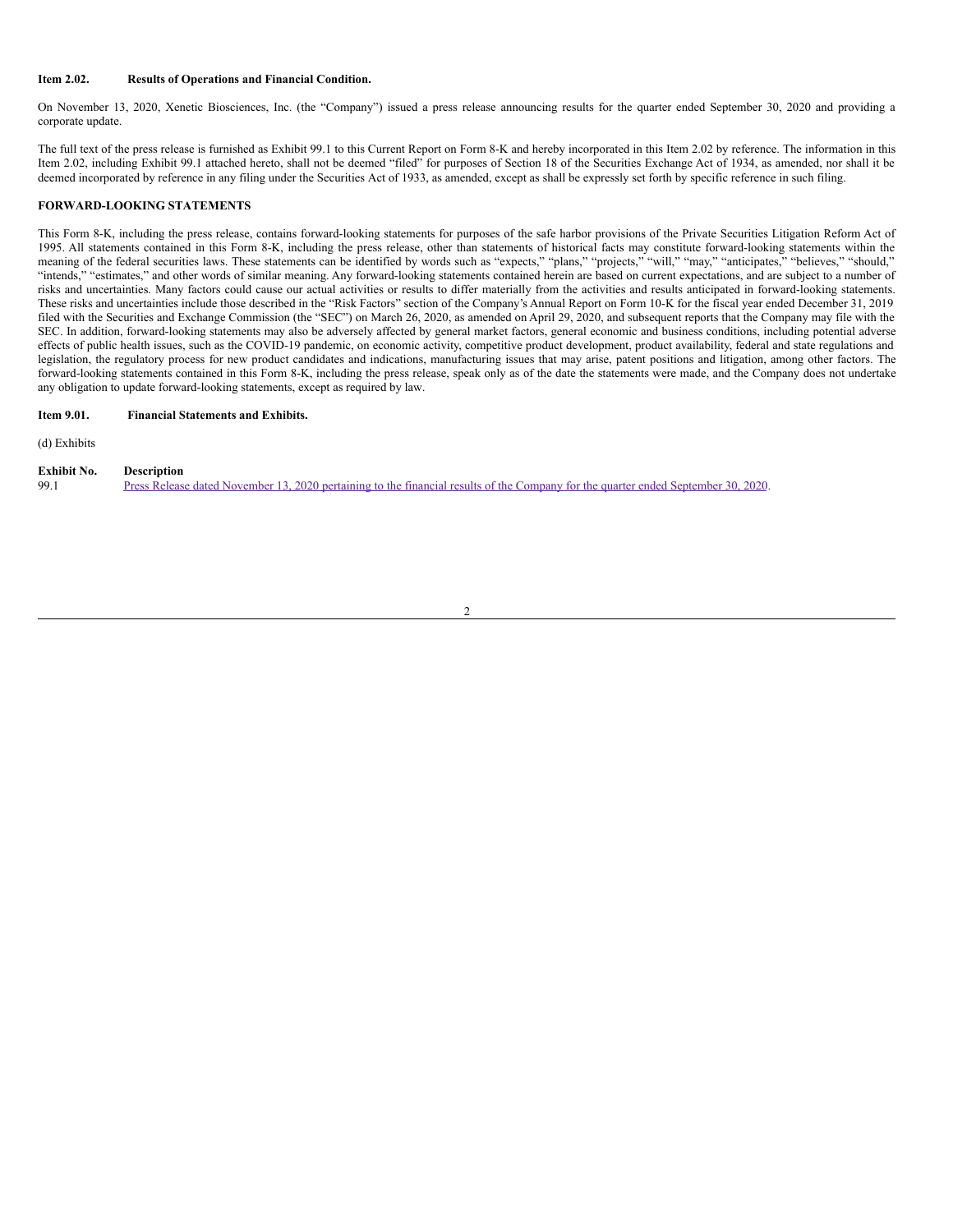## **Item 2.02. Results of Operations and Financial Condition.**

On November 13, 2020, Xenetic Biosciences, Inc. (the "Company") issued a press release announcing results for the quarter ended September 30, 2020 and providing a corporate update.

The full text of the press release is furnished as Exhibit 99.1 to this Current Report on Form 8-K and hereby incorporated in this Item 2.02 by reference. The information in this Item 2.02, including Exhibit 99.1 attached hereto, shall not be deemed "filed" for purposes of Section 18 of the Securities Exchange Act of 1934, as amended, nor shall it be deemed incorporated by reference in any filing under the Securities Act of 1933, as amended, except as shall be expressly set forth by specific reference in such filing.

# **FORWARD-LOOKING STATEMENTS**

This Form 8-K, including the press release, contains forward-looking statements for purposes of the safe harbor provisions of the Private Securities Litigation Reform Act of 1995. All statements contained in this Form 8-K, including the press release, other than statements of historical facts may constitute forward-looking statements within the meaning of the federal securities laws. These statements can be identified by words such as "expects," "plans," "projects," "will," "may," "anticipates," "believes," "should," "intends," "estimates," and other words of similar meaning. Any forward-looking statements contained herein are based on current expectations, and are subject to a number of risks and uncertainties. Many factors could cause our actual activities or results to differ materially from the activities and results anticipated in forward-looking statements. These risks and uncertainties include those described in the "Risk Factors" section of the Company's Annual Report on Form 10-K for the fiscal year ended December 31, 2019 filed with the Securities and Exchange Commission (the "SEC") on March 26, 2020, as amended on April 29, 2020, and subsequent reports that the Company may file with the SEC. In addition, forward-looking statements may also be adversely affected by general market factors, general economic and business conditions, including potential adverse effects of public health issues, such as the COVID-19 pandemic, on economic activity, competitive product development, product availability, federal and state regulations and legislation, the regulatory process for new product candidates and indications, manufacturing issues that may arise, patent positions and litigation, among other factors. The forward-looking statements contained in this Form 8-K, including the press release, speak only as of the date the statements were made, and the Company does not undertake any obligation to update forward-looking statements, except as required by law.

# **Item 9.01. Financial Statements and Exhibits.**

(d) Exhibits

| Exhibit No. | <b>Description</b>                                                                                                                 |
|-------------|------------------------------------------------------------------------------------------------------------------------------------|
| 99.1        | Press Release dated November 13, 2020 pertaining to the financial results of the Company for the quarter ended September 30, 2020. |

### 2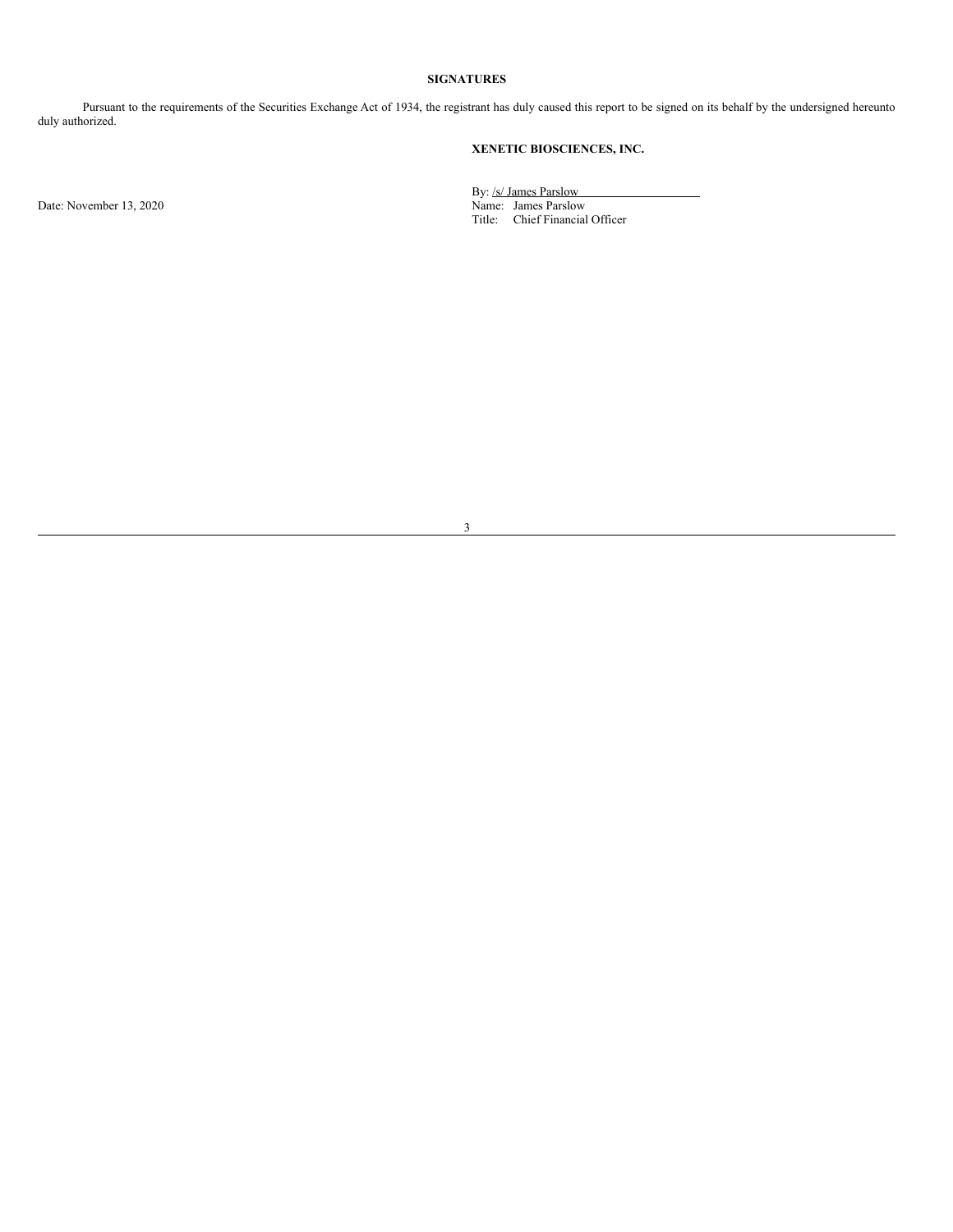# **SIGNATURES**

Pursuant to the requirements of the Securities Exchange Act of 1934, the registrant has duly caused this report to be signed on its behalf by the undersigned hereunto duly authorized.

# **XENETIC BIOSCIENCES, INC.**

Date: November 13, 2020

By: /s/ James Parslow Title: Chief Financial Officer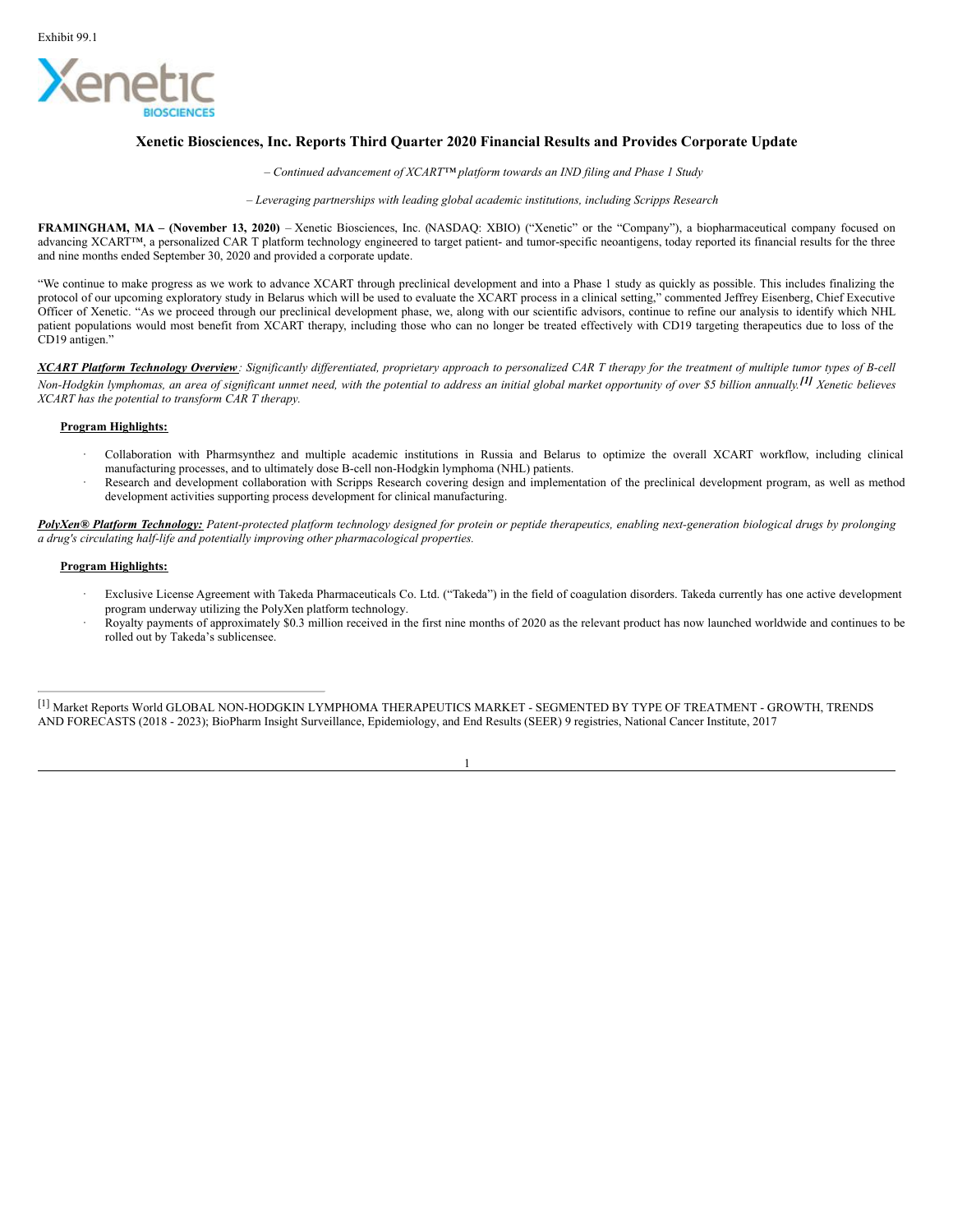

# **Xenetic Biosciences, Inc. Reports Third Quarter 2020 Financial Results and Provides Corporate Update**

*– Continued advancement of XCART™ platform towards an IND filing and Phase 1 Study*

*– Leveraging partnerships with leading global academic institutions, including Scripps Research*

**FRAMINGHAM, MA – (November 13, 2020)** – Xenetic Biosciences, Inc. (NASDAQ: XBIO) ("Xenetic" or the "Company"), a biopharmaceutical company focused on advancing XCART™, a personalized CAR T platform technology engineered to target patient- and tumor-specific neoantigens, today reported its financial results for the three and nine months ended September 30, 2020 and provided a corporate update.

"We continue to make progress as we work to advance XCART through preclinical development and into a Phase 1 study as quickly as possible. This includes finalizing the protocol of our upcoming exploratory study in Belarus which will be used to evaluate the XCART process in a clinical setting," commented Jeffrey Eisenberg, Chief Executive Officer of Xenetic. "As we proceed through our preclinical development phase, we, along with our scientific advisors, continue to refine our analysis to identify which NHL patient populations would most benefit from XCART therapy, including those who can no longer be treated effectively with CD19 targeting therapeutics due to loss of the CD19 antigen."

XCART Platform Technology Overview: Significantly differentiated, proprietary approach to personalized CAR T therapy for the treatment of multiple tumor types of B-cell Non-Hodgkin lymphomas, an area of significant unmet need, with the potential to address an initial global market opportunity of over \$5 billion annually.<sup>[1]</sup> Xenetic believes *XCART has the potential to transform CAR T therapy.*

# **Program Highlights:**

- · Collaboration with Pharmsynthez and multiple academic institutions in Russia and Belarus to optimize the overall XCART workflow, including clinical manufacturing processes, and to ultimately dose B-cell non-Hodgkin lymphoma (NHL) patients.
- Research and development collaboration with Scripps Research covering design and implementation of the preclinical development program, as well as method development activities supporting process development for clinical manufacturing.

PolyXen® Platform Technology: Patent-protected platform technology designed for protein or peptide therapeutics, enabling next-generation biological drugs by prolonging *a drug's circulating half-life and potentially improving other pharmacological properties.*

# **Program Highlights:**

- · Exclusive License Agreement with Takeda Pharmaceuticals Co. Ltd. ("Takeda") in the field of coagulation disorders. Takeda currently has one active development program underway utilizing the PolyXen platform technology.
- · Royalty payments of approximately \$0.3 million received in the first nine months of 2020 as the relevant product has now launched worldwide and continues to be rolled out by Takeda's sublicensee.

[1] Market Reports World GLOBAL NON-HODGKIN LYMPHOMA THERAPEUTICS MARKET - SEGMENTED BY TYPE OF TREATMENT - GROWTH, TRENDS AND FORECASTS (2018 - 2023); BioPharm Insight Surveillance, Epidemiology, and End Results (SEER) 9 registries, National Cancer Institute, 2017

1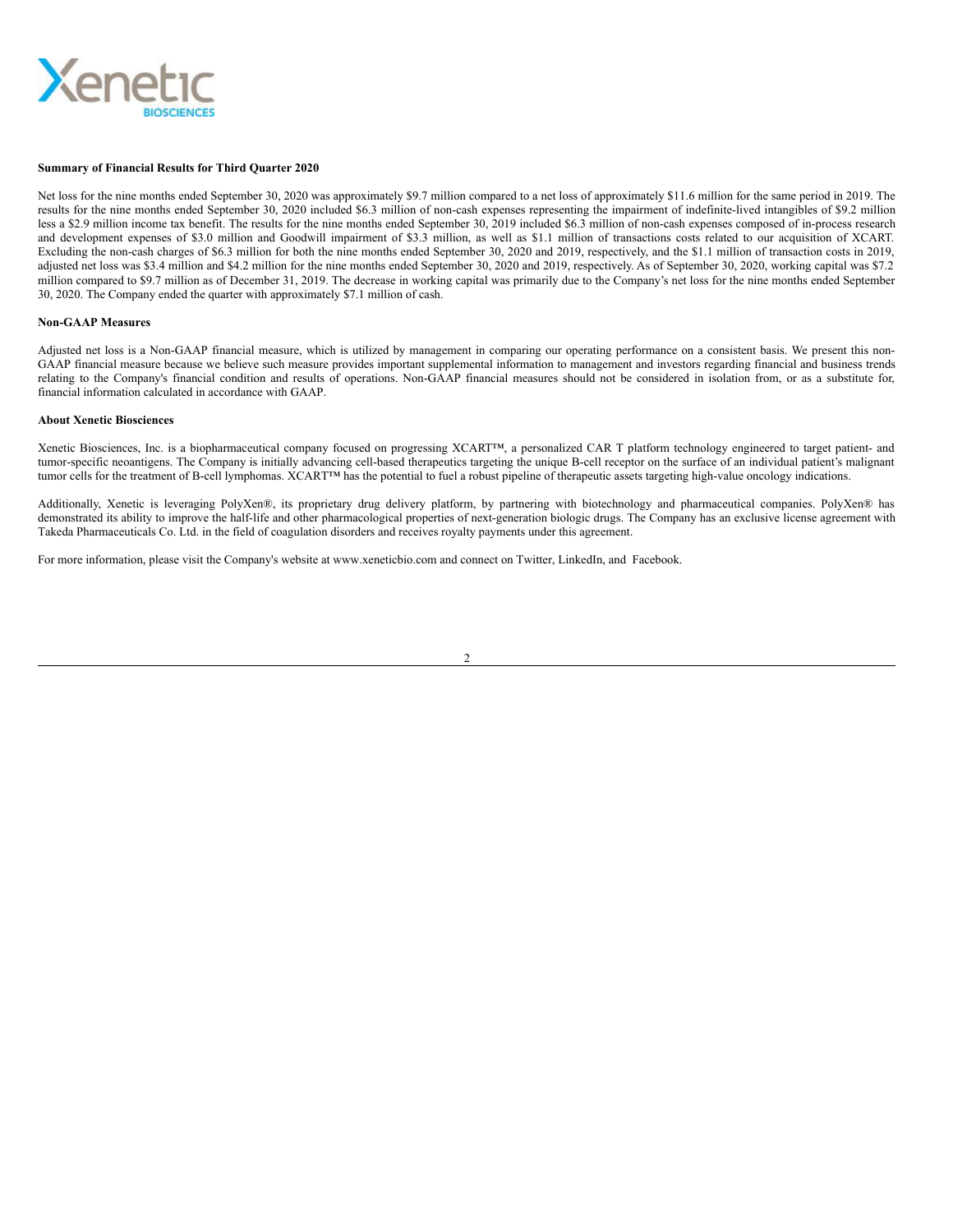<span id="page-4-0"></span>

### **Summary of Financial Results for Third Quarter 2020**

Net loss for the nine months ended September 30, 2020 was approximately \$9.7 million compared to a net loss of approximately \$11.6 million for the same period in 2019. The results for the nine months ended September 30, 2020 included \$6.3 million of non-cash expenses representing the impairment of indefinite-lived intangibles of \$9.2 million less a \$2.9 million income tax benefit. The results for the nine months ended September 30, 2019 included \$6.3 million of non-cash expenses composed of in-process research and development expenses of \$3.0 million and Goodwill impairment of \$3.3 million, as well as \$1.1 million of transactions costs related to our acquisition of XCART. Excluding the non-cash charges of \$6.3 million for both the nine months ended September 30, 2020 and 2019, respectively, and the \$1.1 million of transaction costs in 2019, adjusted net loss was \$3.4 million and \$4.2 million for the nine months ended September 30, 2020 and 2019, respectively. As of September 30, 2020, working capital was \$7.2 million compared to \$9.7 million as of December 31, 2019. The decrease in working capital was primarily due to the Company's net loss for the nine months ended September 30, 2020. The Company ended the quarter with approximately \$7.1 million of cash.

### **Non-GAAP Measures**

Adjusted net loss is a Non-GAAP financial measure, which is utilized by management in comparing our operating performance on a consistent basis. We present this non-GAAP financial measure because we believe such measure provides important supplemental information to management and investors regarding financial and business trends relating to the Company's financial condition and results of operations. Non-GAAP financial measures should not be considered in isolation from, or as a substitute for, financial information calculated in accordance with GAAP.

# **About Xenetic Biosciences**

Xenetic Biosciences, Inc. is a biopharmaceutical company focused on progressing XCART™, a personalized CAR T platform technology engineered to target patient- and tumor-specific neoantigens. The Company is initially advancing cell-based therapeutics targeting the unique B-cell receptor on the surface of an individual patient's malignant tumor cells for the treatment of B-cell lymphomas. XCART™ has the potential to fuel a robust pipeline of therapeutic assets targeting high-value oncology indications.

Additionally, Xenetic is leveraging PolyXen®, its proprietary drug delivery platform, by partnering with biotechnology and pharmaceutical companies. PolyXen® has demonstrated its ability to improve the half-life and other pharmacological properties of next-generation biologic drugs. The Company has an exclusive license agreement with Takeda Pharmaceuticals Co. Ltd. in the field of coagulation disorders and receives royalty payments under this agreement.

For more information, please visit the Company's website at www.xeneticbio.com and connect on Twitter, LinkedIn, and Facebook.

2